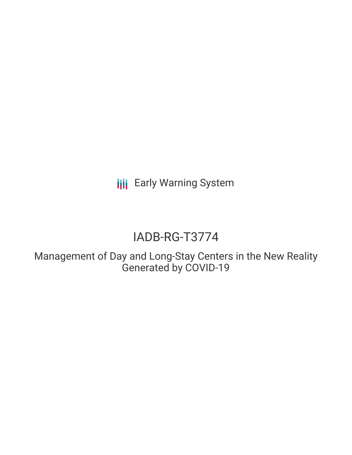**III** Early Warning System

# IADB-RG-T3774

Management of Day and Long-Stay Centers in the New Reality Generated by COVID-19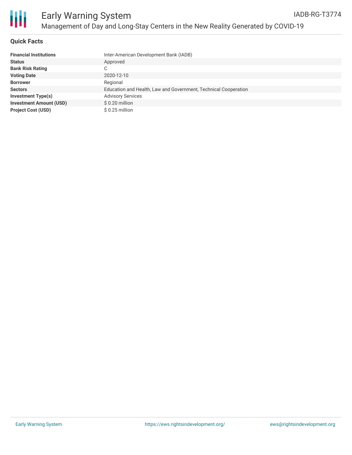

Ш

# **Quick Facts**

| <b>Financial Institutions</b>  | Inter-American Development Bank (IADB)                          |
|--------------------------------|-----------------------------------------------------------------|
| <b>Status</b>                  | Approved                                                        |
| <b>Bank Risk Rating</b>        | C                                                               |
| <b>Voting Date</b>             | 2020-12-10                                                      |
| <b>Borrower</b>                | Regional                                                        |
| <b>Sectors</b>                 | Education and Health, Law and Government, Technical Cooperation |
| Investment Type(s)             | <b>Advisory Services</b>                                        |
| <b>Investment Amount (USD)</b> | $$0.20$ million                                                 |
| <b>Project Cost (USD)</b>      | $$0.25$ million                                                 |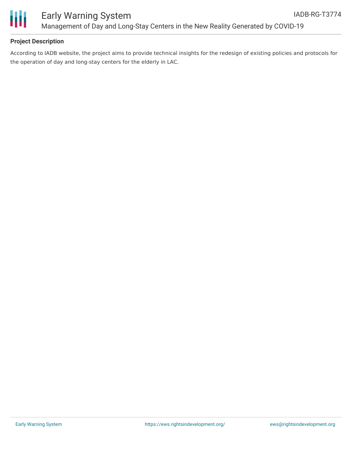

### **Project Description**

According to IADB website, the project aims to provide technical insights for the redesign of existing policies and protocols for the operation of day and long-stay centers for the elderly in LAC.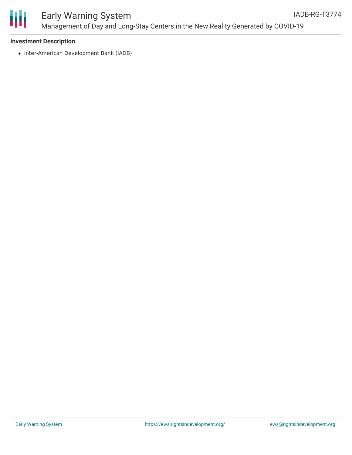

#### **Investment Description**

• Inter-American Development Bank (IADB)